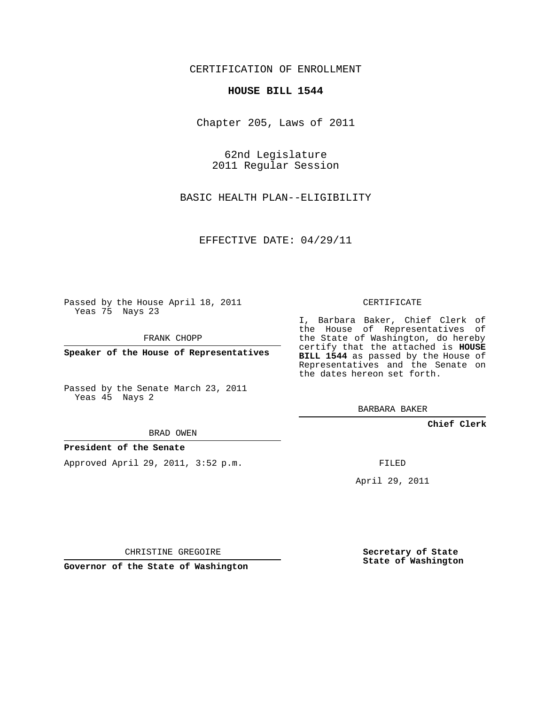CERTIFICATION OF ENROLLMENT

### **HOUSE BILL 1544**

Chapter 205, Laws of 2011

62nd Legislature 2011 Regular Session

BASIC HEALTH PLAN--ELIGIBILITY

EFFECTIVE DATE: 04/29/11

Passed by the House April 18, 2011 Yeas 75 Nays 23

FRANK CHOPP

**Speaker of the House of Representatives**

Passed by the Senate March 23, 2011 Yeas 45 Nays 2

#### BRAD OWEN

### **President of the Senate**

Approved April 29, 2011, 3:52 p.m.

CERTIFICATE

I, Barbara Baker, Chief Clerk of the House of Representatives of the State of Washington, do hereby certify that the attached is **HOUSE BILL 1544** as passed by the House of Representatives and the Senate on the dates hereon set forth.

BARBARA BAKER

**Chief Clerk**

FILED

April 29, 2011

CHRISTINE GREGOIRE

**Governor of the State of Washington**

**Secretary of State State of Washington**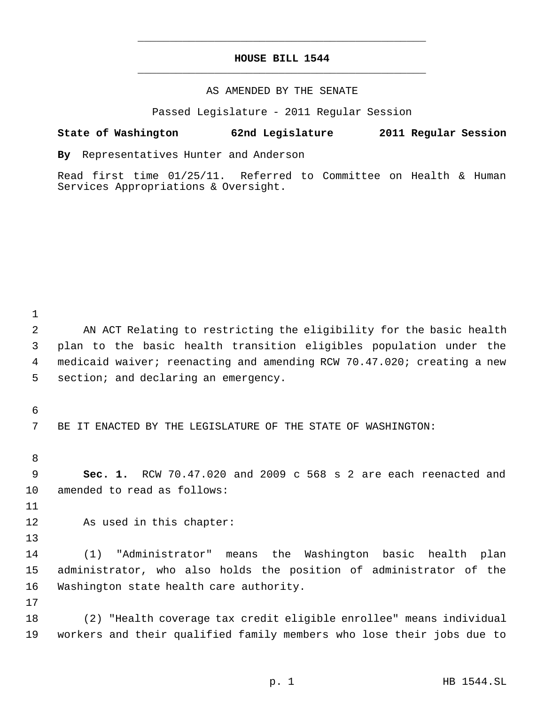## **HOUSE BILL 1544** \_\_\_\_\_\_\_\_\_\_\_\_\_\_\_\_\_\_\_\_\_\_\_\_\_\_\_\_\_\_\_\_\_\_\_\_\_\_\_\_\_\_\_\_\_

\_\_\_\_\_\_\_\_\_\_\_\_\_\_\_\_\_\_\_\_\_\_\_\_\_\_\_\_\_\_\_\_\_\_\_\_\_\_\_\_\_\_\_\_\_

### AS AMENDED BY THE SENATE

Passed Legislature - 2011 Regular Session

### **State of Washington 62nd Legislature 2011 Regular Session**

**By** Representatives Hunter and Anderson

Read first time 01/25/11. Referred to Committee on Health & Human Services Appropriations & Oversight.

 AN ACT Relating to restricting the eligibility for the basic health plan to the basic health transition eligibles population under the medicaid waiver; reenacting and amending RCW 70.47.020; creating a new 5 section; and declaring an emergency.

BE IT ENACTED BY THE LEGISLATURE OF THE STATE OF WASHINGTON:

 **Sec. 1.** RCW 70.47.020 and 2009 c 568 s 2 are each reenacted and amended to read as follows:

As used in this chapter:

 (1) "Administrator" means the Washington basic health plan administrator, who also holds the position of administrator of the Washington state health care authority.

 (2) "Health coverage tax credit eligible enrollee" means individual workers and their qualified family members who lose their jobs due to

p. 1 HB 1544.SL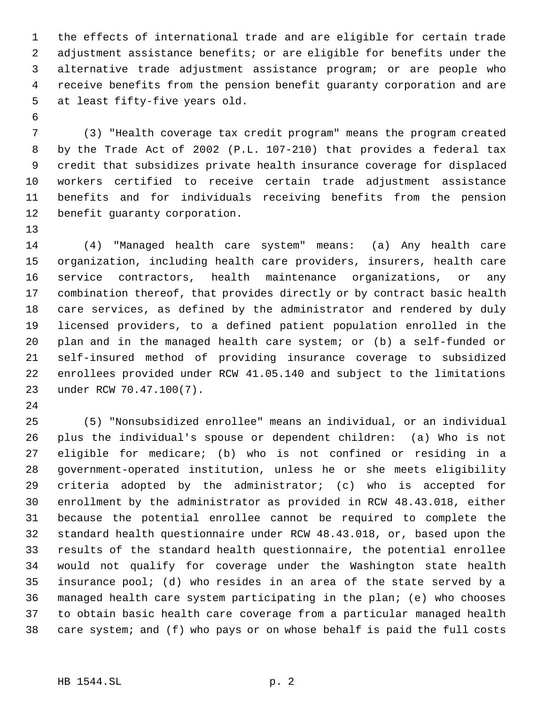the effects of international trade and are eligible for certain trade adjustment assistance benefits; or are eligible for benefits under the alternative trade adjustment assistance program; or are people who receive benefits from the pension benefit guaranty corporation and are at least fifty-five years old.

 (3) "Health coverage tax credit program" means the program created by the Trade Act of 2002 (P.L. 107-210) that provides a federal tax credit that subsidizes private health insurance coverage for displaced workers certified to receive certain trade adjustment assistance benefits and for individuals receiving benefits from the pension benefit guaranty corporation.

 (4) "Managed health care system" means: (a) Any health care organization, including health care providers, insurers, health care service contractors, health maintenance organizations, or any combination thereof, that provides directly or by contract basic health care services, as defined by the administrator and rendered by duly licensed providers, to a defined patient population enrolled in the plan and in the managed health care system; or (b) a self-funded or self-insured method of providing insurance coverage to subsidized enrollees provided under RCW 41.05.140 and subject to the limitations under RCW 70.47.100(7).

 (5) "Nonsubsidized enrollee" means an individual, or an individual plus the individual's spouse or dependent children: (a) Who is not eligible for medicare; (b) who is not confined or residing in a government-operated institution, unless he or she meets eligibility criteria adopted by the administrator; (c) who is accepted for enrollment by the administrator as provided in RCW 48.43.018, either because the potential enrollee cannot be required to complete the standard health questionnaire under RCW 48.43.018, or, based upon the results of the standard health questionnaire, the potential enrollee would not qualify for coverage under the Washington state health insurance pool; (d) who resides in an area of the state served by a managed health care system participating in the plan; (e) who chooses to obtain basic health care coverage from a particular managed health care system; and (f) who pays or on whose behalf is paid the full costs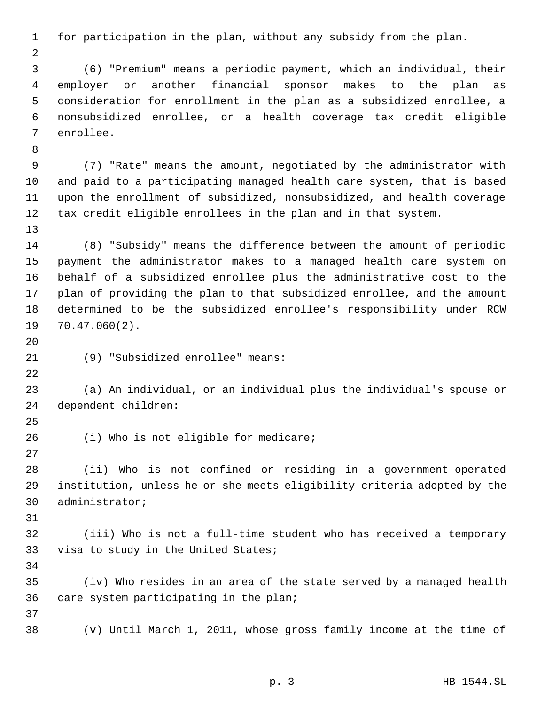for participation in the plan, without any subsidy from the plan.

 (6) "Premium" means a periodic payment, which an individual, their employer or another financial sponsor makes to the plan as consideration for enrollment in the plan as a subsidized enrollee, a nonsubsidized enrollee, or a health coverage tax credit eligible enrollee.

 (7) "Rate" means the amount, negotiated by the administrator with and paid to a participating managed health care system, that is based upon the enrollment of subsidized, nonsubsidized, and health coverage tax credit eligible enrollees in the plan and in that system.

 (8) "Subsidy" means the difference between the amount of periodic payment the administrator makes to a managed health care system on behalf of a subsidized enrollee plus the administrative cost to the plan of providing the plan to that subsidized enrollee, and the amount determined to be the subsidized enrollee's responsibility under RCW 70.47.060(2).

(9) "Subsidized enrollee" means:

 (a) An individual, or an individual plus the individual's spouse or dependent children:

(i) Who is not eligible for medicare;

 (ii) Who is not confined or residing in a government-operated institution, unless he or she meets eligibility criteria adopted by the administrator;

 (iii) Who is not a full-time student who has received a temporary visa to study in the United States;

 (iv) Who resides in an area of the state served by a managed health care system participating in the plan;

(v) Until March 1, 2011, whose gross family income at the time of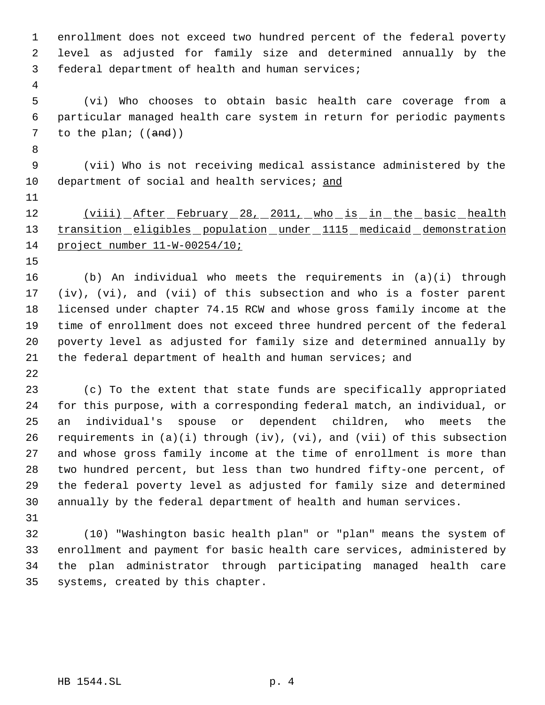enrollment does not exceed two hundred percent of the federal poverty level as adjusted for family size and determined annually by the federal department of health and human services;

 (vi) Who chooses to obtain basic health care coverage from a particular managed health care system in return for periodic payments 7 to the plan;  $((and))$ 

 (vii) Who is not receiving medical assistance administered by the 10 department of social and health services; and

# 12 (viii) After February 28, 2011, who is in the basic health 13 transition eligibles population under 1115 medicaid demonstration project number 11-W-00254/10;

 (b) An individual who meets the requirements in (a)(i) through (iv), (vi), and (vii) of this subsection and who is a foster parent licensed under chapter 74.15 RCW and whose gross family income at the time of enrollment does not exceed three hundred percent of the federal poverty level as adjusted for family size and determined annually by 21 the federal department of health and human services; and

 (c) To the extent that state funds are specifically appropriated for this purpose, with a corresponding federal match, an individual, or an individual's spouse or dependent children, who meets the requirements in (a)(i) through (iv), (vi), and (vii) of this subsection and whose gross family income at the time of enrollment is more than two hundred percent, but less than two hundred fifty-one percent, of the federal poverty level as adjusted for family size and determined annually by the federal department of health and human services.

 (10) "Washington basic health plan" or "plan" means the system of enrollment and payment for basic health care services, administered by the plan administrator through participating managed health care systems, created by this chapter.